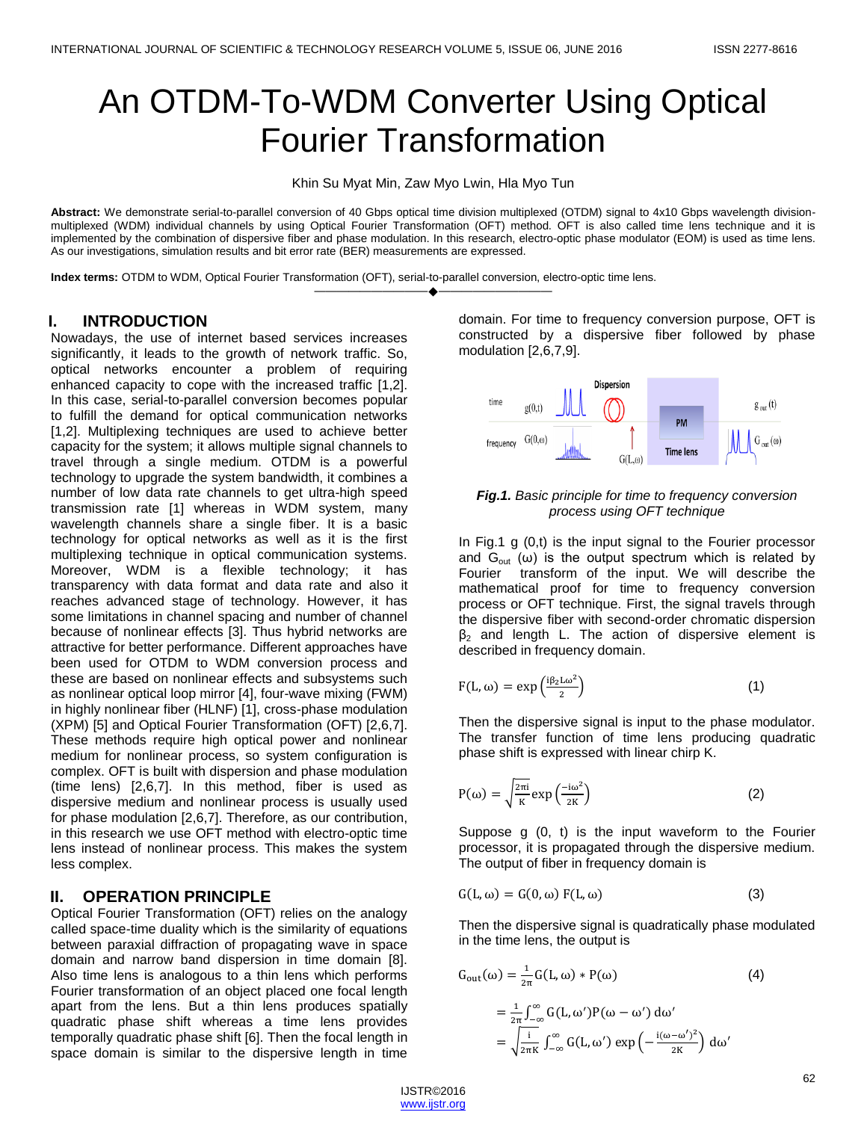# An OTDM-To-WDM Converter Using Optical Fourier Transformation

Khin Su Myat Min, Zaw Myo Lwin, Hla Myo Tun

**Abstract:** We demonstrate serial-to-parallel conversion of 40 Gbps optical time division multiplexed (OTDM) signal to 4x10 Gbps wavelength divisionmultiplexed (WDM) individual channels by using Optical Fourier Transformation (OFT) method. OFT is also called time lens technique and it is implemented by the combination of dispersive fiber and phase modulation. In this research, electro-optic phase modulator (EOM) is used as time lens. As our investigations, simulation results and bit error rate (BER) measurements are expressed.

————————————————————

**Index terms:** OTDM to WDM, Optical Fourier Transformation (OFT), serial-to-parallel conversion, electro-optic time lens.

#### **I. INTRODUCTION**

Nowadays, the use of internet based services increases significantly, it leads to the growth of network traffic. So, optical networks encounter a problem of requiring enhanced capacity to cope with the increased traffic [1,2]. In this case, serial-to-parallel conversion becomes popular to fulfill the demand for optical communication networks [1,2]. Multiplexing techniques are used to achieve better capacity for the system; it allows multiple signal channels to travel through a single medium. OTDM is a powerful technology to upgrade the system bandwidth, it combines a number of low data rate channels to get ultra-high speed transmission rate [1] whereas in WDM system, many wavelength channels share a single fiber. It is a basic technology for optical networks as well as it is the first multiplexing technique in optical communication systems. Moreover, WDM is a flexible technology; it has transparency with data format and data rate and also it reaches advanced stage of technology. However, it has some limitations in channel spacing and number of channel because of nonlinear effects [3]. Thus hybrid networks are attractive for better performance. Different approaches have been used for OTDM to WDM conversion process and these are based on nonlinear effects and subsystems such as nonlinear optical loop mirror [4], four-wave mixing (FWM) in highly nonlinear fiber (HLNF) [1], cross-phase modulation (XPM) [5] and Optical Fourier Transformation (OFT) [2,6,7]. These methods require high optical power and nonlinear medium for nonlinear process, so system configuration is complex. OFT is built with dispersion and phase modulation (time lens) [2,6,7]. In this method, fiber is used as dispersive medium and nonlinear process is usually used for phase modulation [2,6,7]. Therefore, as our contribution, in this research we use OFT method with electro-optic time lens instead of nonlinear process. This makes the system less complex.

### **II. OPERATION PRINCIPLE**

Optical Fourier Transformation (OFT) relies on the analogy called space-time duality which is the similarity of equations between paraxial diffraction of propagating wave in space domain and narrow band dispersion in time domain [8]. Also time lens is analogous to a thin lens which performs Fourier transformation of an object placed one focal length apart from the lens. But a thin lens produces spatially quadratic phase shift whereas a time lens provides temporally quadratic phase shift [6]. Then the focal length in space domain is similar to the dispersive length in time

domain. For time to frequency conversion purpose, OFT is constructed by a dispersive fiber followed by phase modulation [2,6,7,9].



#### *Fig.1. Basic principle for time to frequency conversion process using OFT technique*

In Fig.1 g (0,t) is the input signal to the Fourier processor and  $G_{out}$  (ω) is the output spectrum which is related by Fourier transform of the input. We will describe the mathematical proof for time to frequency conversion process or OFT technique. First, the signal travels through the dispersive fiber with second-order chromatic dispersion  $β<sub>2</sub>$  and length L. The action of dispersive element is described in frequency domain.

$$
F(L, \omega) = \exp\left(\frac{i\beta_2 L \omega^2}{2}\right) \tag{1}
$$

Then the dispersive signal is input to the phase modulator. The transfer function of time lens producing quadratic phase shift is expressed with linear chirp K.

$$
P(\omega) = \sqrt{\frac{2\pi i}{K}} \exp\left(\frac{-i\omega^2}{2K}\right)
$$
 (2)

Suppose g (0, t) is the input waveform to the Fourier processor, it is propagated through the dispersive medium. The output of fiber in frequency domain is

$$
G(L, \omega) = G(0, \omega) F(L, \omega)
$$
 (3)

Then the dispersive signal is quadratically phase modulated in the time lens, the output is

$$
G_{out}(\omega) = \frac{1}{2\pi} G(L, \omega) * P(\omega)
$$
\n
$$
= \frac{1}{2\pi} \int_{-\infty}^{\infty} G(L, \omega') P(\omega - \omega') d\omega'
$$
\n
$$
= \sqrt{\frac{i}{2\pi K}} \int_{-\infty}^{\infty} G(L, \omega') \exp\left(-\frac{i(\omega - \omega')^{2}}{2K}\right) d\omega'
$$
\n(4)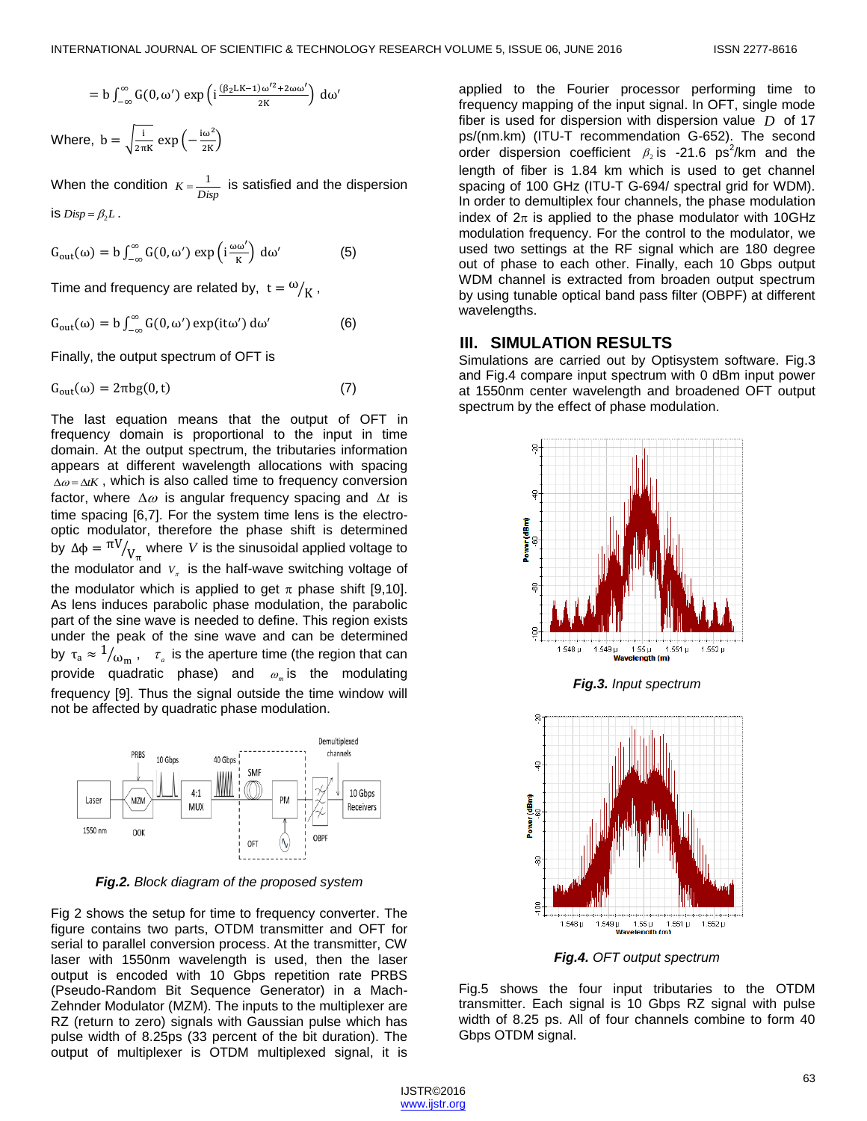$$
= b \int_{-\infty}^{\infty} G(0, \omega') \exp \left( i \frac{(\beta_2 L K - 1) \omega'^2 + 2 \omega \omega'}{2K} \right) d\omega'
$$

Where,  $b = \sqrt{\frac{i}{n}}$  $\frac{1}{2\pi K}$  exp $\left(-\frac{i\omega^2}{2K}\right)$ 

When the condition  $K = \frac{1}{Disp}$  is satisfied and the dispersion is  $Disp = \beta_2 L$ .

$$
G_{\text{out}}(\omega) = b \int_{-\infty}^{\infty} G(0, \omega') \exp\left(i \frac{\omega \omega'}{K}\right) d\omega'
$$
 (5)

Time and frequency are related by,  $t = \omega_{\bigg / K}^2$  ,

$$
G_{\text{out}}(\omega) = b \int_{-\infty}^{\infty} G(0, \omega') \exp(\mathrm{i} t \omega') d\omega'
$$
 (6)

Finally, the output spectrum of OFT is

$$
G_{out}(\omega) = 2\pi bg(0, t) \tag{7}
$$

The last equation means that the output of OFT in frequency domain is proportional to the input in time domain. At the output spectrum, the tributaries information appears at different wavelength allocations with spacing  $\Delta \omega = \Delta t K$ , which is also called time to frequency conversion factor, where  $\Delta\omega$  is angular frequency spacing and  $\Delta t$  is time spacing [6,7]. For the system time lens is the electrooptic modulator, therefore the phase shift is determined by  $\Delta \varphi = \frac{\pi V}{V_{\pi}}$  where V is the sinusoidal applied voltage to the modulator and  $V_{\pi}$  is the half-wave switching voltage of the modulator which is applied to get  $\pi$  phase shift [9,10]. As lens induces parabolic phase modulation, the parabolic part of the sine wave is needed to define. This region exists under the peak of the sine wave and can be determined by  $\tau_a \approx \frac{1}{\omega_m}$ ,  $\tau_a$  is the aperture time (the region that can provide quadratic phase) and *m* is the modulating frequency [9]. Thus the signal outside the time window will not be affected by quadratic phase modulation.



*Fig.2. Block diagram of the proposed system*

Fig 2 shows the setup for time to frequency converter. The figure contains two parts, OTDM transmitter and OFT for serial to parallel conversion process. At the transmitter, CW laser with 1550nm wavelength is used, then the laser output is encoded with 10 Gbps repetition rate PRBS (Pseudo-Random Bit Sequence Generator) in a Mach-Zehnder Modulator (MZM). The inputs to the multiplexer are RZ (return to zero) signals with Gaussian pulse which has pulse width of 8.25ps (33 percent of the bit duration). The output of multiplexer is OTDM multiplexed signal, it is applied to the Fourier processor performing time to frequency mapping of the input signal. In OFT, single mode fiber is used for dispersion with dispersion value *D* of 17 ps/(nm.km) (ITU-T recommendation G-652). The second order dispersion coefficient  $\beta_2$  is -21.6 ps<sup>2</sup>/km and the length of fiber is 1.84 km which is used to get channel spacing of 100 GHz (ITU-T G-694/ spectral grid for WDM). In order to demultiplex four channels, the phase modulation index of  $2\pi$  is applied to the phase modulator with 10GHz modulation frequency. For the control to the modulator, we used two settings at the RF signal which are 180 degree out of phase to each other. Finally, each 10 Gbps output WDM channel is extracted from broaden output spectrum by using tunable optical band pass filter (OBPF) at different wavelengths.

#### **III. SIMULATION RESULTS**

Simulations are carried out by Optisystem software. Fig.3 and Fig.4 compare input spectrum with 0 dBm input power at 1550nm center wavelength and broadened OFT output spectrum by the effect of phase modulation.



*Fig.3. Input spectrum*



*Fig.4. OFT output spectrum*

Fig.5 shows the four input tributaries to the OTDM transmitter. Each signal is 10 Gbps RZ signal with pulse width of 8.25 ps. All of four channels combine to form 40 Gbps OTDM signal.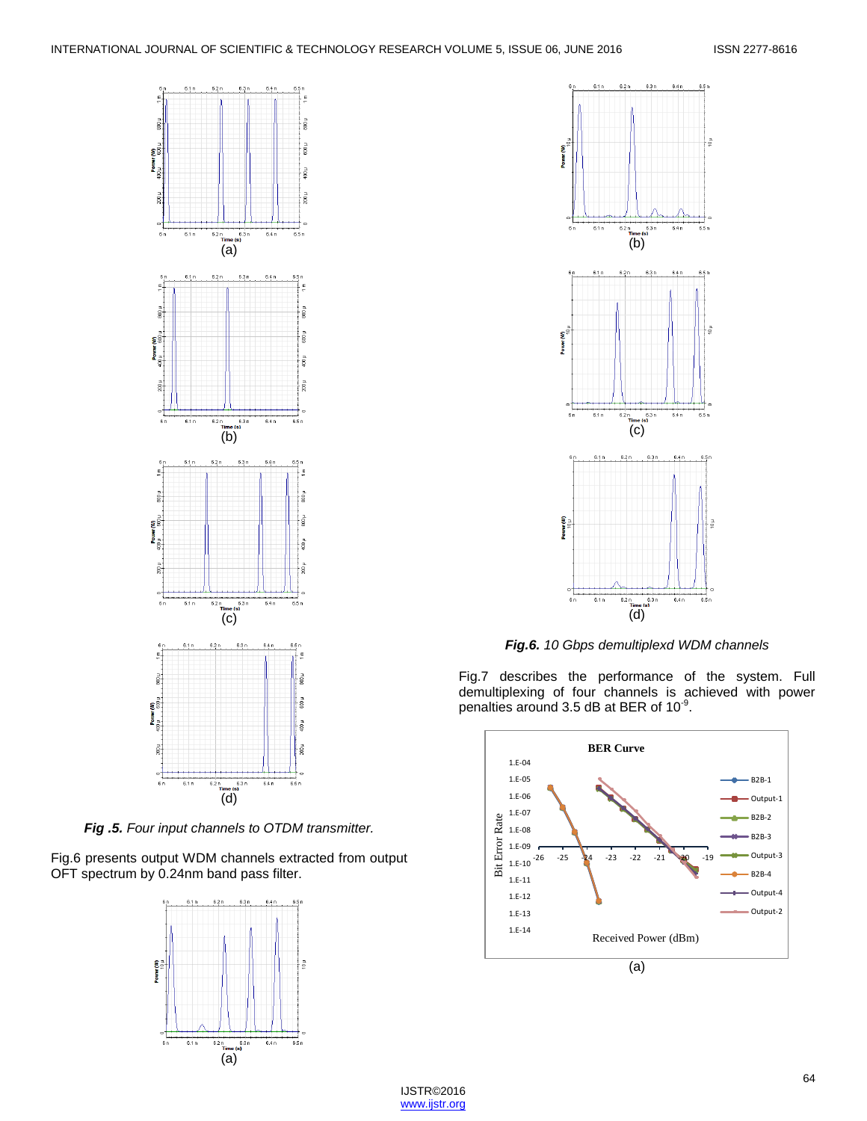

*Fig .5. Four input channels to OTDM transmitter.*

Fig.6 presents output WDM channels extracted from output OFT spectrum by 0.24nm band pass filter.





*Fig.6. 10 Gbps demultiplexd WDM channels*

Fig.7 describes the performance of the system. Full demultiplexing of four channels is achieved with power penalties around 3.5 dB at BER of 10 $^9$ .